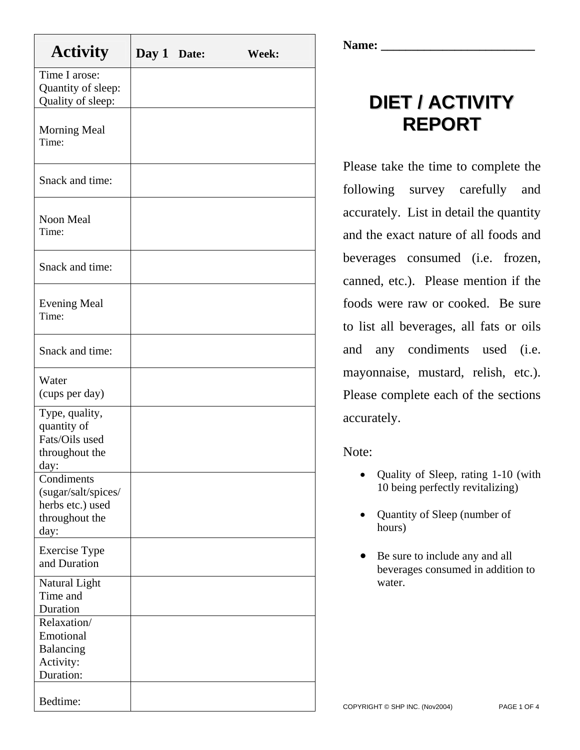| <b>Activity</b>                                                                 | Day 1 Date: | Week: |
|---------------------------------------------------------------------------------|-------------|-------|
| Time I arose:<br>Quantity of sleep:<br>Quality of sleep:                        |             |       |
| Morning Meal<br>Time:                                                           |             |       |
| Snack and time:                                                                 |             |       |
| <b>Noon Meal</b><br>Time:                                                       |             |       |
| Snack and time:                                                                 |             |       |
| <b>Evening Meal</b><br>Time:                                                    |             |       |
| Snack and time:                                                                 |             |       |
| Water<br>(cups per day)                                                         |             |       |
| Type, quality,<br>quantity of<br>Fats/Oils used<br>throughout the<br>day:       |             |       |
| Condiments<br>(sugar/salt/spices/<br>herbs etc.) used<br>throughout the<br>day: |             |       |
| <b>Exercise Type</b><br>and Duration                                            |             |       |
| Natural Light<br>Time and<br>Duration                                           |             |       |
| Relaxation/<br>Emotional<br>Balancing<br>Activity:<br>Duration:                 |             |       |
| Bedtime:                                                                        |             |       |

Name:

## **DIET / ACTIVITY REPORT**

Please take the time to complete the following survey carefully and accurately. List in detail the quantity and the exact nature of all foods and beverages consumed (i.e. frozen, canned, etc.). Please mention if the foods were raw or cooked. Be sure to list all beverages, all fats or oils and any condiments used (i.e. mayonnaise, mustard, relish, etc.). Please complete each of the sections accurately.

## Note:

- Quality of Sleep, rating 1-10 (with 10 being perfectly revitalizing)
- Quantity of Sleep (number of hours)
- Be sure to include any and all beverages consumed in addition to water.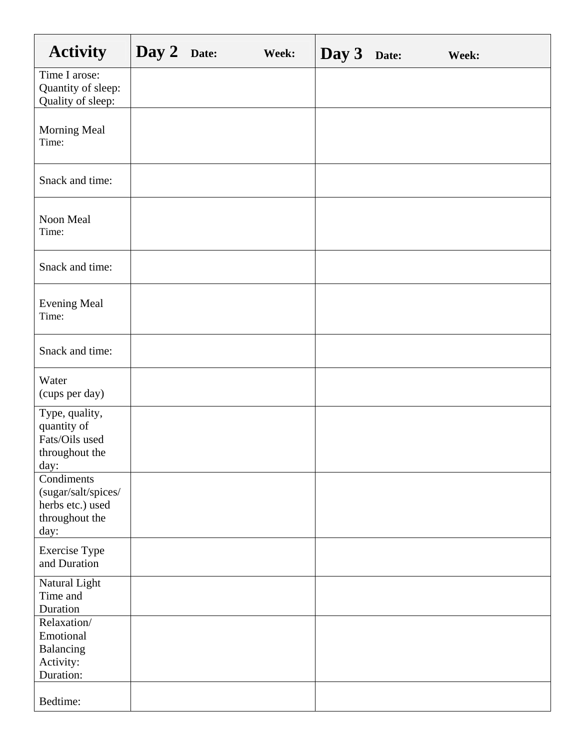| <b>Activity</b>                                                                 | Day 2 Date: | Week: | Day 3 | Date: | Week: |
|---------------------------------------------------------------------------------|-------------|-------|-------|-------|-------|
| Time I arose:<br>Quantity of sleep:<br>Quality of sleep:                        |             |       |       |       |       |
| Morning Meal<br>Time:                                                           |             |       |       |       |       |
| Snack and time:                                                                 |             |       |       |       |       |
| Noon Meal<br>Time:                                                              |             |       |       |       |       |
| Snack and time:                                                                 |             |       |       |       |       |
| <b>Evening Meal</b><br>Time:                                                    |             |       |       |       |       |
| Snack and time:                                                                 |             |       |       |       |       |
| Water<br>(cups per day)                                                         |             |       |       |       |       |
| Type, quality,<br>quantity of<br>Fats/Oils used<br>throughout the<br>day:       |             |       |       |       |       |
| Condiments<br>(sugar/salt/spices/<br>herbs etc.) used<br>throughout the<br>day: |             |       |       |       |       |
| <b>Exercise Type</b><br>and Duration                                            |             |       |       |       |       |
| Natural Light<br>Time and<br>Duration                                           |             |       |       |       |       |
| Relaxation/<br>Emotional<br>Balancing<br>Activity:<br>Duration:                 |             |       |       |       |       |
| Bedtime:                                                                        |             |       |       |       |       |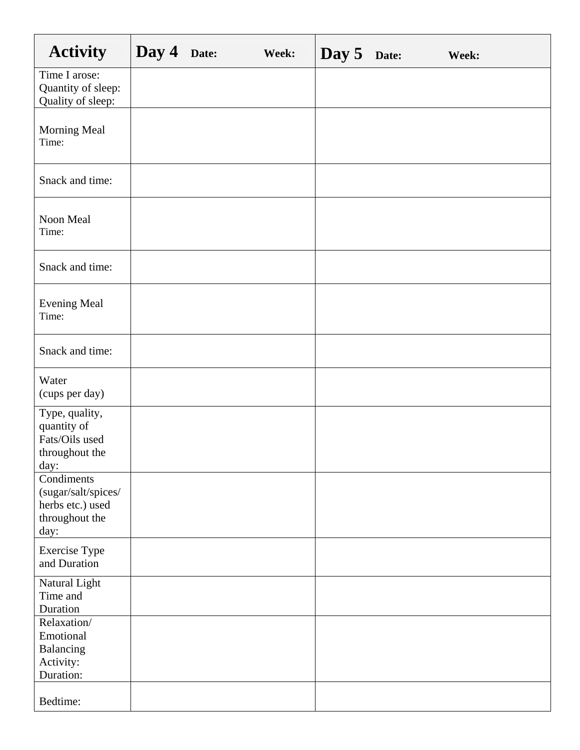| <b>Activity</b>                                                                 | Day 4 | Date: | Week: | Day 5 | Date: | Week: |
|---------------------------------------------------------------------------------|-------|-------|-------|-------|-------|-------|
| Time I arose:<br>Quantity of sleep:<br>Quality of sleep:                        |       |       |       |       |       |       |
| Morning Meal<br>Time:                                                           |       |       |       |       |       |       |
| Snack and time:                                                                 |       |       |       |       |       |       |
| Noon Meal<br>Time:                                                              |       |       |       |       |       |       |
| Snack and time:                                                                 |       |       |       |       |       |       |
| <b>Evening Meal</b><br>Time:                                                    |       |       |       |       |       |       |
| Snack and time:                                                                 |       |       |       |       |       |       |
| Water<br>(cups per day)                                                         |       |       |       |       |       |       |
| Type, quality,<br>quantity of<br>Fats/Oils used<br>throughout the<br>day:       |       |       |       |       |       |       |
| Condiments<br>(sugar/salt/spices/<br>herbs etc.) used<br>throughout the<br>day: |       |       |       |       |       |       |
| <b>Exercise Type</b><br>and Duration                                            |       |       |       |       |       |       |
| Natural Light<br>Time and<br>Duration                                           |       |       |       |       |       |       |
| Relaxation/<br>Emotional<br>Balancing<br>Activity:<br>Duration:                 |       |       |       |       |       |       |
| Bedtime:                                                                        |       |       |       |       |       |       |